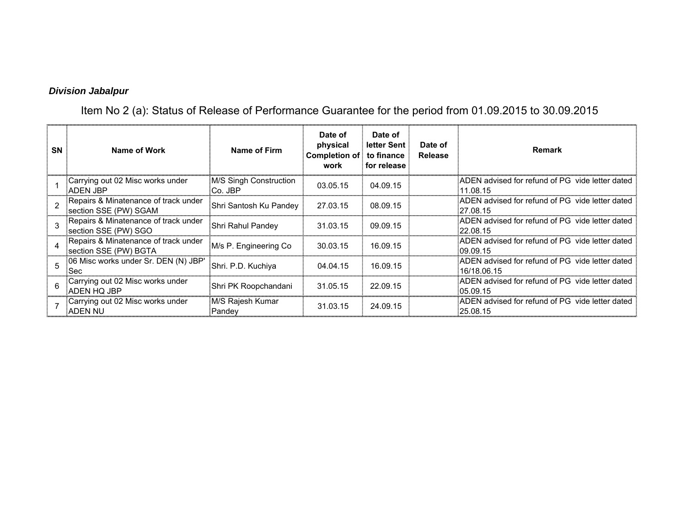## *Division Jabalpur*

Item No 2 (a): Status of Release of Performance Guarantee for the period from 01.09.2015 to 30.09.2015

| SN | Name of Work                                                    | Name of Firm                      | Date of<br>physical<br>Completion of: to finance<br>work | Date of<br>letter Sent<br>for release | Date of<br><b>Release</b> | <b>Remark</b>                                                   |
|----|-----------------------------------------------------------------|-----------------------------------|----------------------------------------------------------|---------------------------------------|---------------------------|-----------------------------------------------------------------|
|    | :Carrying out 02 Misc works under<br>ADEN JBP                   | M/S Singh Construction<br>Co. JBP | 03.05.15                                                 | 04.09.15                              |                           | ADEN advised for refund of PG vide letter dated<br>11.08.15     |
|    | Repairs & Minatenance of track under<br>section SSE (PW) SGAM   | Shri Santosh Ku Pandey            | 27.03.15                                                 | 08.09.15                              |                           | ADEN advised for refund of PG vide letter dated<br>27.08.15     |
|    | Repairs & Minatenance of track under<br>section SSE (PW) SGO    | Shri Rahul Pandey                 | 31.03.15                                                 | 09.09.15                              |                           | ADEN advised for refund of PG vide letter dated<br>.22.08.15    |
|    | : Repairs & Minatenance of track under<br>section SSE (PW) BGTA | M/s P. Engineering Co.            | 30.03.15                                                 | 16.09.15                              |                           | ADEN advised for refund of PG vide letter dated<br>09.09.15     |
|    | :06 Misc works under Sr. DEN (N) JBP'<br>:Sec                   | Shri. P.D. Kuchiya                | 04.04.15                                                 | 16.09.15                              |                           | ADEN advised for refund of PG vide letter dated<br>.16/18.06.15 |
|    | :Carrying out 02 Misc works under<br>ADEN HQ JBP                | Shri PK Roopchandani              | 31.05.15                                                 | 22.09.15                              |                           | ADEN advised for refund of PG vide letter dated<br>05.09.15     |
|    | Carrying out 02 Misc works under<br>ADEN NU                     | M/S Rajesh Kumar<br>Pandey        | 31.03.15                                                 | 24.09.15                              |                           | ADEN advised for refund of PG vide letter dated<br>:25.08.15    |